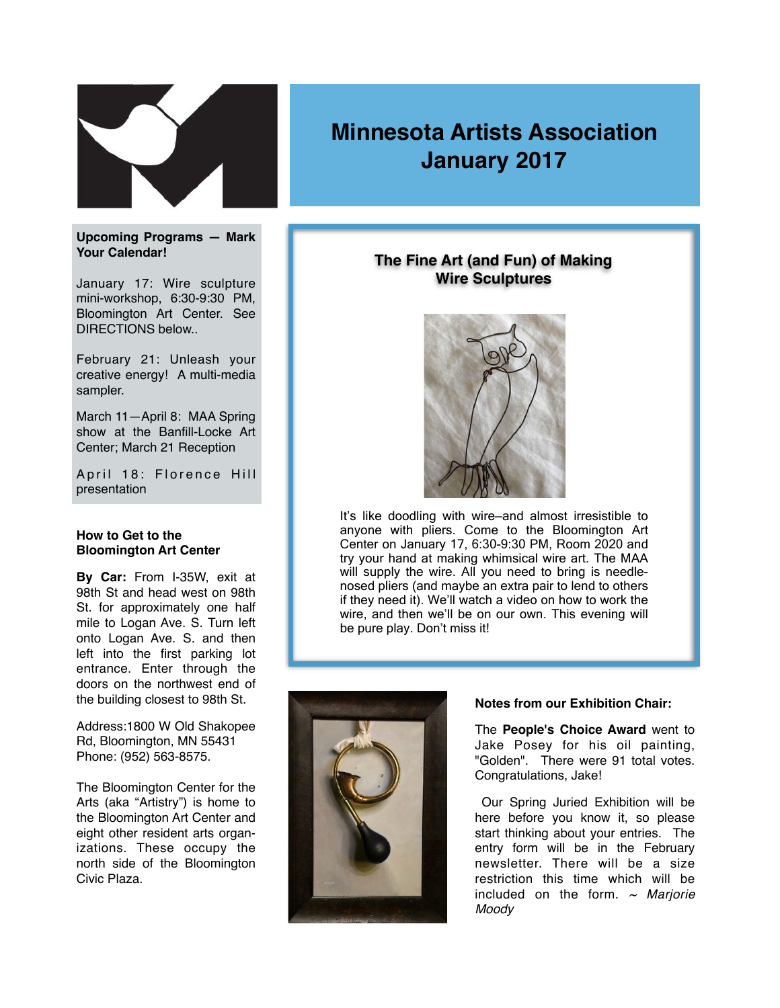

### **Upcoming Programs — Mark Your Calendar!**

January 17: Wire sculpture mini-workshop, 6:30-9:30 PM, Bloomington Art Center. See DIRECTIONS below..

February 21: Unleash your creative energy! A multi-media sampler.

March 11—April 8: MAA Spring show at the Banfill-Locke Art Center; March 21 Reception

April 18: Florence Hill presentation

#### **How to Get to the Bloomington Art Center**

**By Car:** From I-35W, exit at 98th St and head west on 98th St. for approximately one half mile to Logan Ave. S. Turn left onto Logan Ave. S. and then left into the first parking lot entrance. Enter through the doors on the northwest end of the building closest to 98th St.

Address:1800 W Old Shakopee Rd, Bloomington, MN 55431 Phone: (952) 563-8575.

The Bloomington Center for the Arts (aka "Artistry") is home to the Bloomington Art Center and eight other resident arts organizations. These occupy the north side of the Bloomington Civic Plaza.

# **Minnesota Artists Association January 2017**

# **The Fine Art (and Fun) of Making Wire Sculptures**



It's like doodling with wire—and almost irresistible to anyone with pliers. Come to the Bloomington Art Center on January 17, 6:30-9:30 PM, Room 2020 and try your hand at making whimsical wire art. The MAA will supply the wire. All you need to bring is needlenosed pliers (and maybe an extra pair to lend to others if they need it). We'll watch a video on how to work the wire, and then we'll be on our own. This evening will be pure play. Don't miss it!



### **Notes from our Exhibition Chair:**

The **People's Choice Award** went to Jake Posey for his oil painting, "Golden". There were 91 total votes. Congratulations, Jake!

Our Spring Juried Exhibition will be here before you know it, so please start thinking about your entries. The entry form will be in the February newsletter. There will be a size restriction this time which will be included on the form. *~ Marjorie Moody*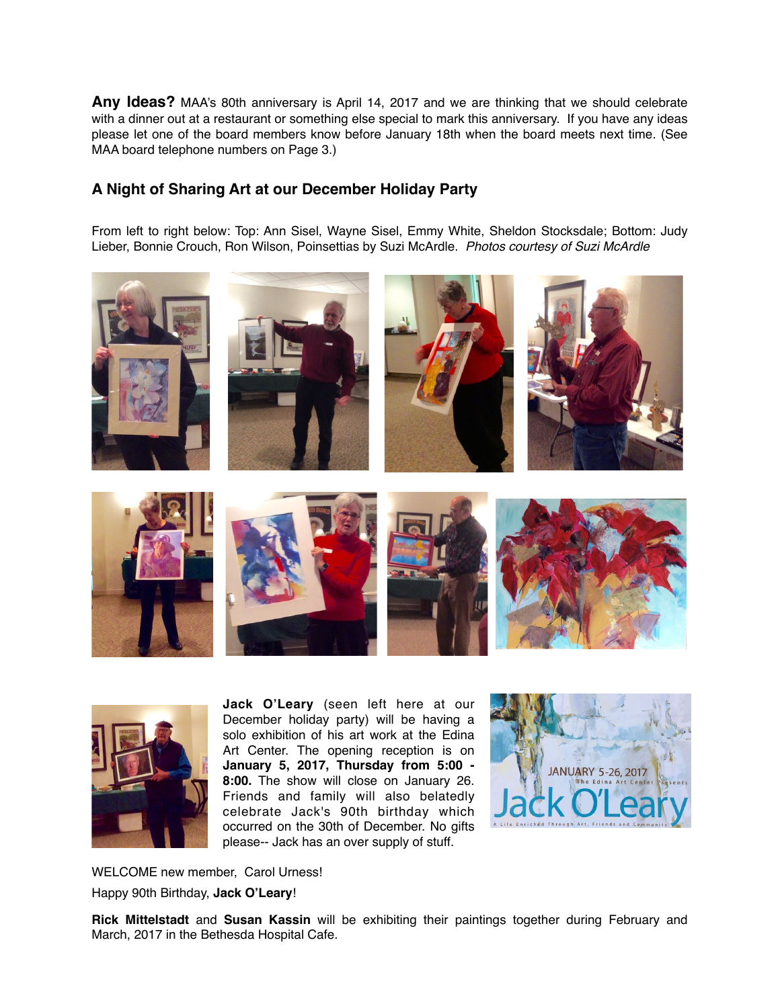**Any Ideas?** MAA's 80th anniversary is April 14, 2017 and we are thinking that we should celebrate with a dinner out at a restaurant or something else special to mark this anniversary. If you have any ideas please let one of the board members know before January 18th when the board meets next time. (See MAA board telephone numbers on Page 3.)

# **A Night of Sharing Art at our December Holiday Party**

From left to right below: Top: Ann Sisel, Wayne Sisel, Emmy White, Sheldon Stocksdale; Bottom: Judy Lieber, Bonnie Crouch, Ron Wilson, Poinsettias by Suzi McArdle. *Photos courtesy of Suzi McArdle*





**Jack O'Leary** (seen left here at our December holiday party) will be having a solo exhibition of his art work at the Edina Art Center. The opening reception is on **January 5, 2017, Thursday from 5:00 - 8:00.** The show will close on January 26. Friends and family will also belatedly celebrate Jack's 90th birthday which occurred on the 30th of December. No gifts please-- Jack has an over supply of stuff.



WELCOME new member, Carol Urness! Happy 90th Birthday, **Jack O'Leary**!

**Rick Mittelstadt** and **Susan Kassin** will be exhibiting their paintings together during February and March, 2017 in the Bethesda Hospital Cafe.